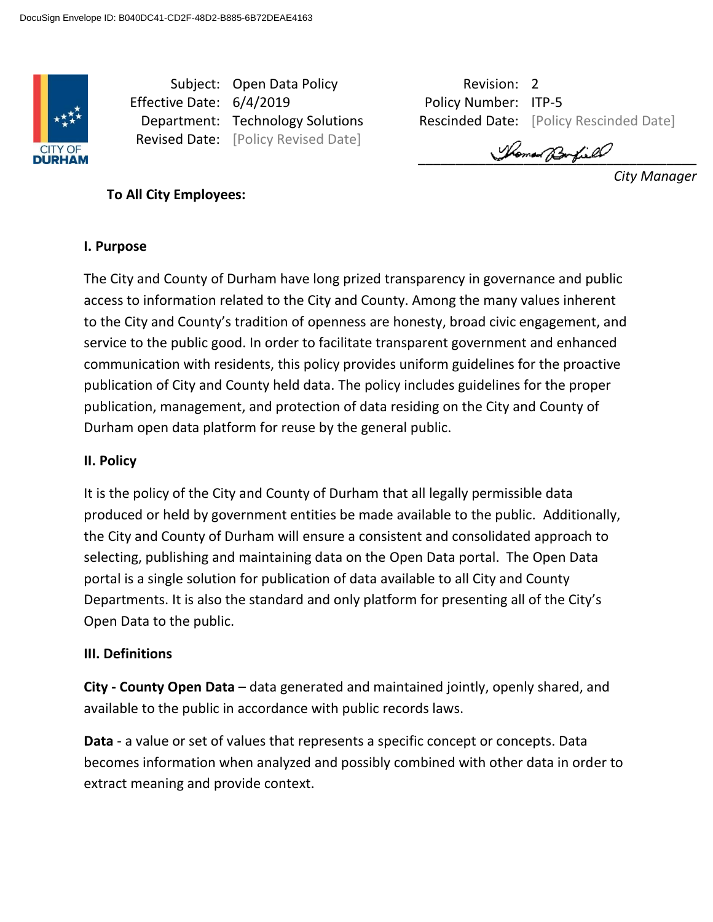

Revised Date: [Policy Revised Date]

Subject: Open Data Policy **Revision: 2** Revision: 2 Effective Date: 6/4/2019 Policy Number: ITP-5 **Department: Technology Solutions Rescinded Date: [Policy Rescinded Date]** 

Shoman Barfield

*City Manager*

**To All City Employees:** 

### **I. Purpose**

The City and County of Durham have long prized transparency in governance and public access to information related to the City and County. Among the many values inherent to the City and County's tradition of openness are honesty, broad civic engagement, and service to the public good. In order to facilitate transparent government and enhanced communication with residents, this policy provides uniform guidelines for the proactive publication of City and County held data. The policy includes guidelines for the proper publication, management, and protection of data residing on the City and County of Durham open data platform for reuse by the general public.

#### **II. Policy**

It is the policy of the City and County of Durham that all legally permissible data produced or held by government entities be made available to the public. Additionally, the City and County of Durham will ensure a consistent and consolidated approach to selecting, publishing and maintaining data on the Open Data portal. The Open Data portal is a single solution for publication of data available to all City and County Departments. It is also the standard and only platform for presenting all of the City's Open Data to the public.

#### **III. Definitions**

**City - County Open Data** – data generated and maintained jointly, openly shared, and available to the public in accordance with public records laws.

**Data** - a value or set of values that represents a specific concept or concepts. Data becomes information when analyzed and possibly combined with other data in order to extract meaning and provide context.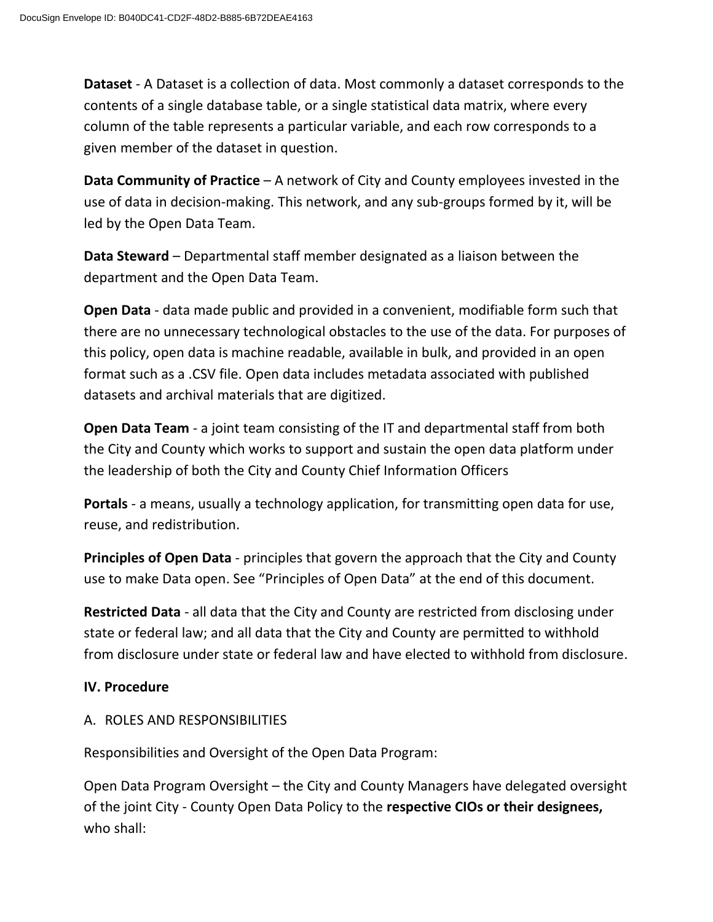**Dataset** - A Dataset is a collection of data. Most commonly a dataset corresponds to the contents of a single database table, or a single statistical data matrix, where every column of the table represents a particular variable, and each row corresponds to a given member of the dataset in question.

**Data Community of Practice** – A network of City and County employees invested in the use of data in decision-making. This network, and any sub-groups formed by it, will be led by the Open Data Team.

**Data Steward** – Departmental staff member designated as a liaison between the department and the Open Data Team.

**Open Data** - data made public and provided in a convenient, modifiable form such that there are no unnecessary technological obstacles to the use of the data. For purposes of this policy, open data is machine readable, available in bulk, and provided in an open format such as a .CSV file. Open data includes metadata associated with published datasets and archival materials that are digitized.

**Open Data Team** - a joint team consisting of the IT and departmental staff from both the City and County which works to support and sustain the open data platform under the leadership of both the City and County Chief Information Officers

**Portals** - a means, usually a technology application, for transmitting open data for use, reuse, and redistribution.

**Principles of Open Data** - principles that govern the approach that the City and County use to make Data open. See "Principles of Open Data" at the end of this document.

**Restricted Data** - all data that the City and County are restricted from disclosing under state or federal law; and all data that the City and County are permitted to withhold from disclosure under state or federal law and have elected to withhold from disclosure.

## **IV. Procedure**

## A. ROLES AND RESPONSIBILITIES

Responsibilities and Oversight of the Open Data Program:

Open Data Program Oversight – the City and County Managers have delegated oversight of the joint City - County Open Data Policy to the **respective CIOs or their designees,**  who shall: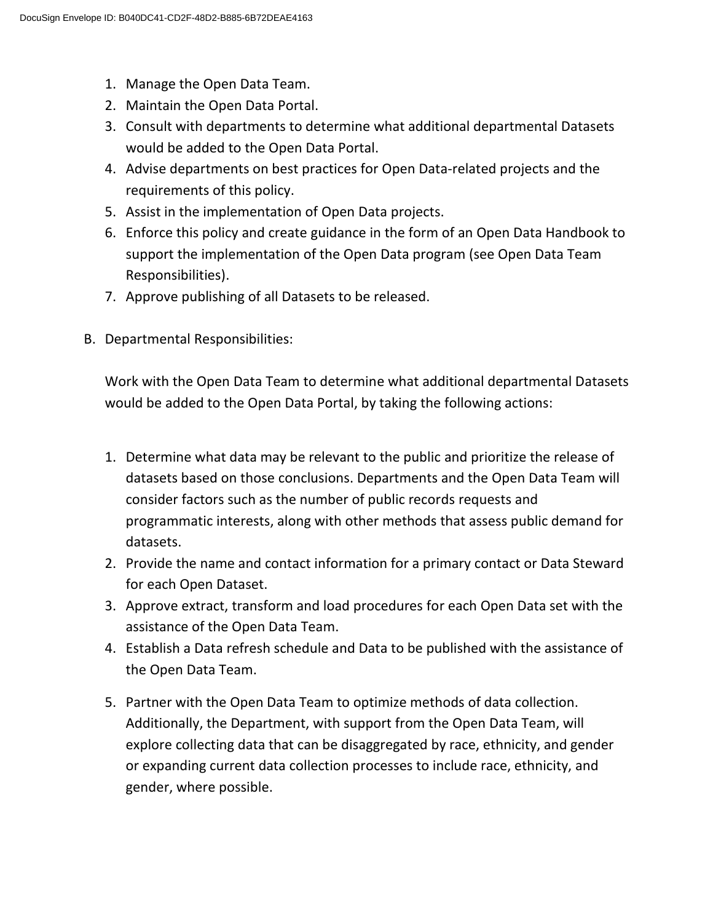- 1. Manage the Open Data Team.
- 2. Maintain the Open Data Portal.
- 3. Consult with departments to determine what additional departmental Datasets would be added to the Open Data Portal.
- 4. Advise departments on best practices for Open Data-related projects and the requirements of this policy.
- 5. Assist in the implementation of Open Data projects.
- 6. Enforce this policy and create guidance in the form of an Open Data Handbook to support the implementation of the Open Data program (see Open Data Team Responsibilities).
- 7. Approve publishing of all Datasets to be released.
- B. Departmental Responsibilities:

Work with the Open Data Team to determine what additional departmental Datasets would be added to the Open Data Portal, by taking the following actions:

- 1. Determine what data may be relevant to the public and prioritize the release of datasets based on those conclusions. Departments and the Open Data Team will consider factors such as the number of public records requests and programmatic interests, along with other methods that assess public demand for datasets.
- 2. Provide the name and contact information for a primary contact or Data Steward for each Open Dataset.
- 3. Approve extract, transform and load procedures for each Open Data set with the assistance of the Open Data Team.
- 4. Establish a Data refresh schedule and Data to be published with the assistance of the Open Data Team.
- 5. Partner with the Open Data Team to optimize methods of data collection. Additionally, the Department, with support from the Open Data Team, will explore collecting data that can be disaggregated by race, ethnicity, and gender or expanding current data collection processes to include race, ethnicity, and gender, where possible.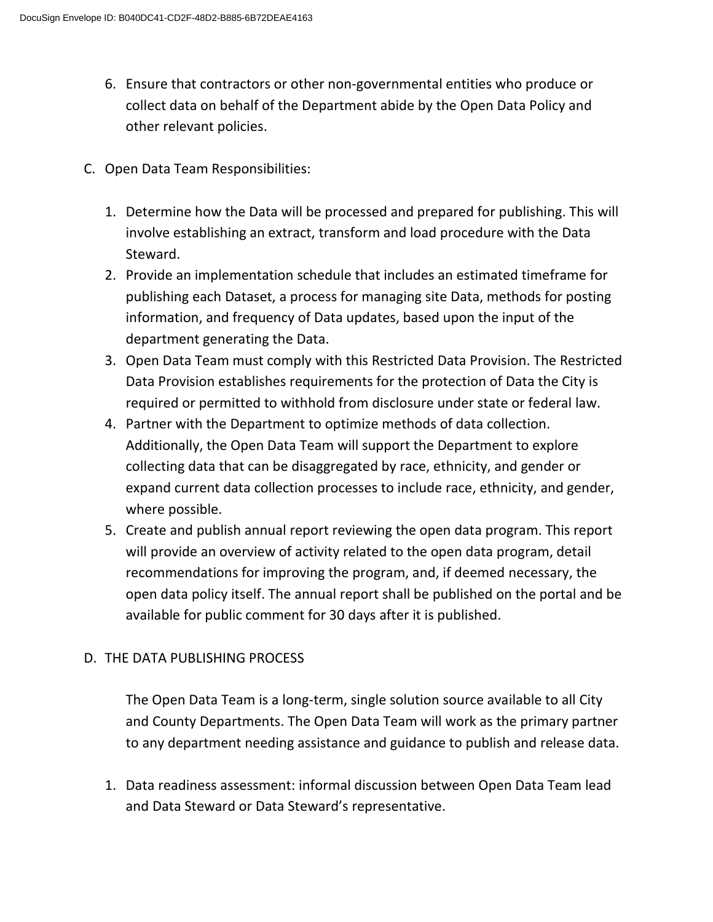- 6. Ensure that contractors or other non-governmental entities who produce or collect data on behalf of the Department abide by the Open Data Policy and other relevant policies.
- C. Open Data Team Responsibilities:
	- 1. Determine how the Data will be processed and prepared for publishing. This will involve establishing an extract, transform and load procedure with the Data Steward.
	- 2. Provide an implementation schedule that includes an estimated timeframe for publishing each Dataset, a process for managing site Data, methods for posting information, and frequency of Data updates, based upon the input of the department generating the Data.
	- 3. Open Data Team must comply with this Restricted Data Provision. The Restricted Data Provision establishes requirements for the protection of Data the City is required or permitted to withhold from disclosure under state or federal law.
	- 4. Partner with the Department to optimize methods of data collection. Additionally, the Open Data Team will support the Department to explore collecting data that can be disaggregated by race, ethnicity, and gender or expand current data collection processes to include race, ethnicity, and gender, where possible.
	- 5. Create and publish annual report reviewing the open data program. This report will provide an overview of activity related to the open data program, detail recommendations for improving the program, and, if deemed necessary, the open data policy itself. The annual report shall be published on the portal and be available for public comment for 30 days after it is published.

# D. THE DATA PUBLISHING PROCESS

The Open Data Team is a long-term, single solution source available to all City and County Departments. The Open Data Team will work as the primary partner to any department needing assistance and guidance to publish and release data.

1. Data readiness assessment: informal discussion between Open Data Team lead and Data Steward or Data Steward's representative.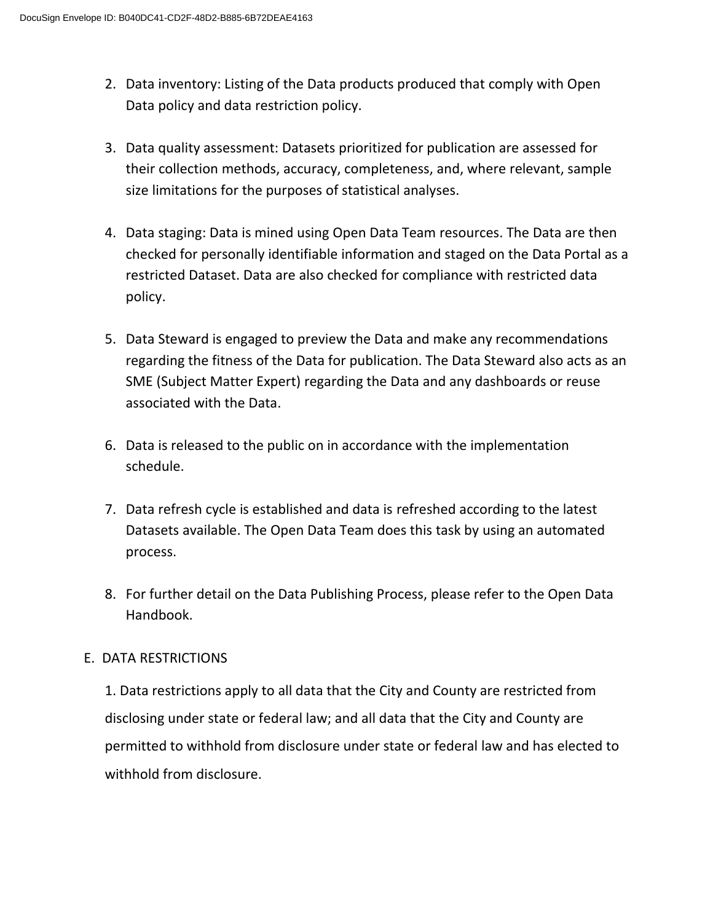- 2. Data inventory: Listing of the Data products produced that comply with Open Data policy and data restriction policy.
- 3. Data quality assessment: Datasets prioritized for publication are assessed for their collection methods, accuracy, completeness, and, where relevant, sample size limitations for the purposes of statistical analyses.
- 4. Data staging: Data is mined using Open Data Team resources. The Data are then checked for personally identifiable information and staged on the Data Portal as a restricted Dataset. Data are also checked for compliance with restricted data policy.
- 5. Data Steward is engaged to preview the Data and make any recommendations regarding the fitness of the Data for publication. The Data Steward also acts as an SME (Subject Matter Expert) regarding the Data and any dashboards or reuse associated with the Data.
- 6. Data is released to the public on in accordance with the implementation schedule.
- 7. Data refresh cycle is established and data is refreshed according to the latest Datasets available. The Open Data Team does this task by using an automated process.
- 8. For further detail on the Data Publishing Process, please refer to the Open Data Handbook.

# E. DATA RESTRICTIONS

1. Data restrictions apply to all data that the City and County are restricted from disclosing under state or federal law; and all data that the City and County are permitted to withhold from disclosure under state or federal law and has elected to withhold from disclosure.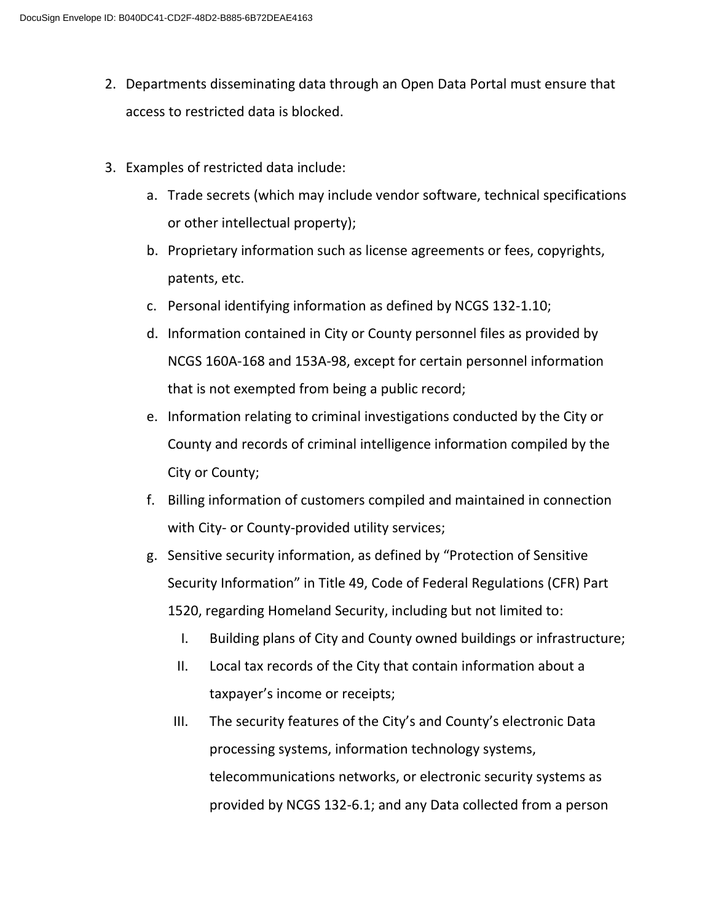- 2. Departments disseminating data through an Open Data Portal must ensure that access to restricted data is blocked.
- 3. Examples of restricted data include:
	- a. Trade secrets (which may include vendor software, technical specifications or other intellectual property);
	- b. Proprietary information such as license agreements or fees, copyrights, patents, etc.
	- c. Personal identifying information as defined by NCGS 132-1.10;
	- d. Information contained in City or County personnel files as provided by NCGS 160A-168 and 153A-98, except for certain personnel information that is not exempted from being a public record;
	- e. Information relating to criminal investigations conducted by the City or County and records of criminal intelligence information compiled by the City or County;
	- f. Billing information of customers compiled and maintained in connection with City- or County-provided utility services;
	- g. Sensitive security information, as defined by "Protection of Sensitive Security Information" in Title 49, Code of Federal Regulations (CFR) Part 1520, regarding Homeland Security, including but not limited to:
		- I. Building plans of City and County owned buildings or infrastructure;
		- II. Local tax records of the City that contain information about a taxpayer's income or receipts;
		- III. The security features of the City's and County's electronic Data processing systems, information technology systems, telecommunications networks, or electronic security systems as provided by NCGS 132-6.1; and any Data collected from a person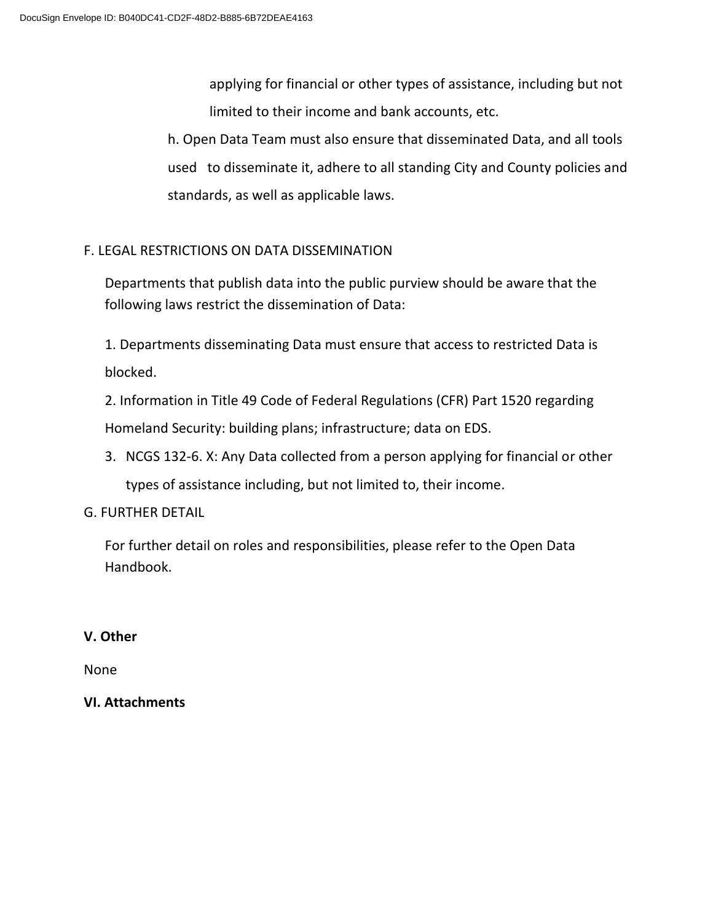applying for financial or other types of assistance, including but not limited to their income and bank accounts, etc.

h. Open Data Team must also ensure that disseminated Data, and all tools used to disseminate it, adhere to all standing City and County policies and standards, as well as applicable laws.

## F. LEGAL RESTRICTIONS ON DATA DISSEMINATION

Departments that publish data into the public purview should be aware that the following laws restrict the dissemination of Data:

1. Departments disseminating Data must ensure that access to restricted Data is blocked.

2. Information in Title 49 Code of Federal Regulations (CFR) Part 1520 regarding Homeland Security: building plans; infrastructure; data on EDS.

3. NCGS 132-6. X: Any Data collected from a person applying for financial or other types of assistance including, but not limited to, their income.

### G. FURTHER DETAIL

For further detail on roles and responsibilities, please refer to the Open Data Handbook.

### **V. Other**

None

### **VI. Attachments**